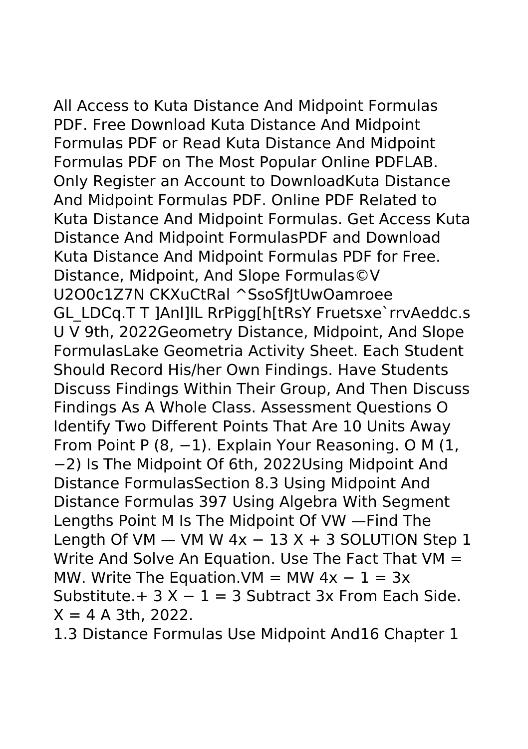All Access to Kuta Distance And Midpoint Formulas PDF. Free Download Kuta Distance And Midpoint Formulas PDF or Read Kuta Distance And Midpoint Formulas PDF on The Most Popular Online PDFLAB. Only Register an Account to DownloadKuta Distance And Midpoint Formulas PDF. Online PDF Related to Kuta Distance And Midpoint Formulas. Get Access Kuta Distance And Midpoint FormulasPDF and Download Kuta Distance And Midpoint Formulas PDF for Free. Distance, Midpoint, And Slope Formulas©V U2O0c1Z7N CKXuCtRal ^SsoSfItUwOamroee GL\_LDCq.T T ]Anl]lL RrPigg[h[tRsY Fruetsxe`rrvAeddc.s U V 9th, 2022Geometry Distance, Midpoint, And Slope FormulasLake Geometria Activity Sheet. Each Student Should Record His/her Own Findings. Have Students Discuss Findings Within Their Group, And Then Discuss Findings As A Whole Class. Assessment Questions O Identify Two Different Points That Are 10 Units Away From Point P (8, −1). Explain Your Reasoning. O M (1, −2) Is The Midpoint Of 6th, 2022Using Midpoint And Distance FormulasSection 8.3 Using Midpoint And Distance Formulas 397 Using Algebra With Segment Lengths Point M Is The Midpoint Of VW —Find The Length Of VM  $-$  VM W 4x  $-$  13 X + 3 SOLUTION Step 1 Write And Solve An Equation. Use The Fact That VM = MW. Write The Equation.VM = MW  $4x - 1 = 3x$ Substitute. $+ 3 X - 1 = 3$  Subtract 3x From Each Side.  $X = 4$  A 3th, 2022.

1.3 Distance Formulas Use Midpoint And16 Chapter 1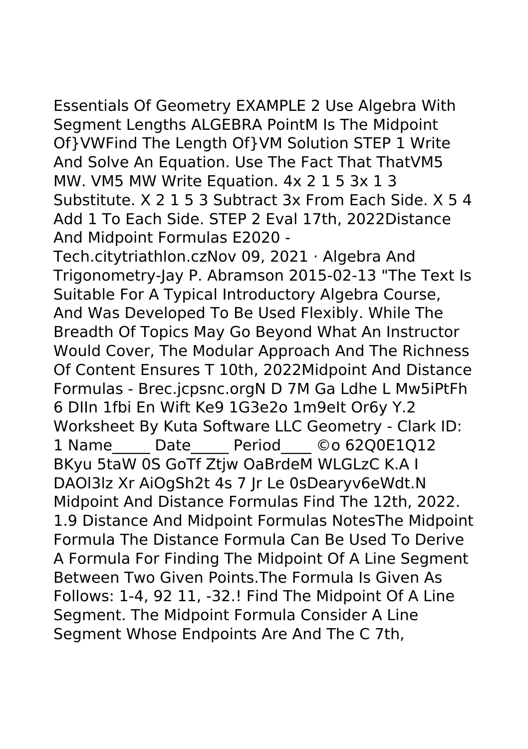Essentials Of Geometry EXAMPLE 2 Use Algebra With Segment Lengths ALGEBRA PointM Is The Midpoint Of}VWFind The Length Of}VM Solution STEP 1 Write And Solve An Equation. Use The Fact That ThatVM5 MW. VM5 MW Write Equation. 4x 2 1 5 3x 1 3 Substitute. X 2 1 5 3 Subtract 3x From Each Side. X 5 4 Add 1 To Each Side. STEP 2 Eval 17th, 2022Distance And Midpoint Formulas E2020 -

Tech.citytriathlon.czNov 09, 2021 · Algebra And Trigonometry-Jay P. Abramson 2015-02-13 "The Text Is Suitable For A Typical Introductory Algebra Course, And Was Developed To Be Used Flexibly. While The Breadth Of Topics May Go Beyond What An Instructor Would Cover, The Modular Approach And The Richness Of Content Ensures T 10th, 2022Midpoint And Distance Formulas - Brec.jcpsnc.orgN D 7M Ga Ldhe L Mw5iPtFh 6 DIIn 1fbi En Wift Ke9 1G3e2o 1m9eIt Or6y Y.2 Worksheet By Kuta Software LLC Geometry - Clark ID: 1 Name Date Period ©o 6200E1012 BKyu 5taW 0S GoTf Ztjw OaBrdeM WLGLzC K.A I DAOl3lz Xr AiOgSh2t 4s 7 Jr Le 0sDearyv6eWdt.N Midpoint And Distance Formulas Find The 12th, 2022. 1.9 Distance And Midpoint Formulas NotesThe Midpoint Formula The Distance Formula Can Be Used To Derive A Formula For Finding The Midpoint Of A Line Segment Between Two Given Points.The Formula Is Given As Follows: 1-4, 92 11, -32.! Find The Midpoint Of A Line Segment. The Midpoint Formula Consider A Line Segment Whose Endpoints Are And The C 7th,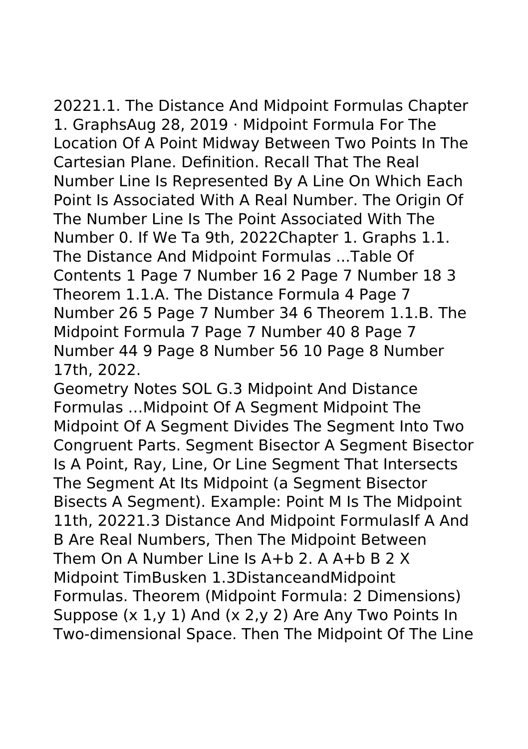20221.1. The Distance And Midpoint Formulas Chapter 1. GraphsAug 28, 2019 · Midpoint Formula For The Location Of A Point Midway Between Two Points In The Cartesian Plane. Definition. Recall That The Real Number Line Is Represented By A Line On Which Each Point Is Associated With A Real Number. The Origin Of The Number Line Is The Point Associated With The Number 0. If We Ta 9th, 2022Chapter 1. Graphs 1.1. The Distance And Midpoint Formulas ...Table Of Contents 1 Page 7 Number 16 2 Page 7 Number 18 3 Theorem 1.1.A. The Distance Formula 4 Page 7 Number 26 5 Page 7 Number 34 6 Theorem 1.1.B. The Midpoint Formula 7 Page 7 Number 40 8 Page 7 Number 44 9 Page 8 Number 56 10 Page 8 Number 17th, 2022.

Geometry Notes SOL G.3 Midpoint And Distance Formulas …Midpoint Of A Segment Midpoint The Midpoint Of A Segment Divides The Segment Into Two Congruent Parts. Segment Bisector A Segment Bisector Is A Point, Ray, Line, Or Line Segment That Intersects The Segment At Its Midpoint (a Segment Bisector Bisects A Segment). Example: Point M Is The Midpoint 11th, 20221.3 Distance And Midpoint FormulasIf A And B Are Real Numbers, Then The Midpoint Between Them On A Number Line Is A+b 2. A A+b B 2 X Midpoint TimBusken 1.3DistanceandMidpoint Formulas. Theorem (Midpoint Formula: 2 Dimensions) Suppose (x 1,y 1) And (x 2,y 2) Are Any Two Points In Two-dimensional Space. Then The Midpoint Of The Line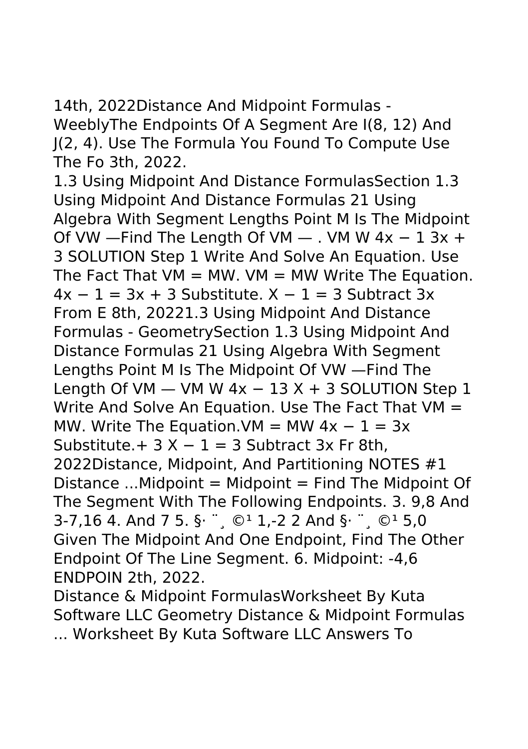14th, 2022Distance And Midpoint Formulas - WeeblyThe Endpoints Of A Segment Are I(8, 12) And J(2, 4). Use The Formula You Found To Compute Use The Fo 3th, 2022.

1.3 Using Midpoint And Distance FormulasSection 1.3 Using Midpoint And Distance Formulas 21 Using Algebra With Segment Lengths Point M Is The Midpoint Of VW —Find The Length Of VM — . VM W  $4x - 13x +$ 3 SOLUTION Step 1 Write And Solve An Equation. Use The Fact That  $VM = MW$ .  $VM = MW$  Write The Equation.  $4x - 1 = 3x + 3$  Substitute.  $X - 1 = 3$  Subtract 3x From E 8th, 20221.3 Using Midpoint And Distance Formulas - GeometrySection 1.3 Using Midpoint And Distance Formulas 21 Using Algebra With Segment Lengths Point M Is The Midpoint Of VW —Find The Length Of VM  $-$  VM W 4x  $-$  13 X + 3 SOLUTION Step 1 Write And Solve An Equation. Use The Fact That VM = MW. Write The Equation.VM = MW  $4x - 1 = 3x$ Substitute. +  $3 X - 1 = 3$  Subtract 3x Fr 8th, 2022Distance, Midpoint, And Partitioning NOTES #1 Distance  $\ldots$ Midpoint = Midpoint = Find The Midpoint Of The Segment With The Following Endpoints. 3. 9,8 And 3-7,16 4. And 7 5. §  $\cdot$   $\circ$   $\cdot$   $\cdot$   $\circ$  2 And §  $\cdot$   $\cdot$   $\circ$   $\cdot$  5,0 Given The Midpoint And One Endpoint, Find The Other Endpoint Of The Line Segment. 6. Midpoint: -4,6 ENDPOIN 2th, 2022.

Distance & Midpoint FormulasWorksheet By Kuta Software LLC Geometry Distance & Midpoint Formulas ... Worksheet By Kuta Software LLC Answers To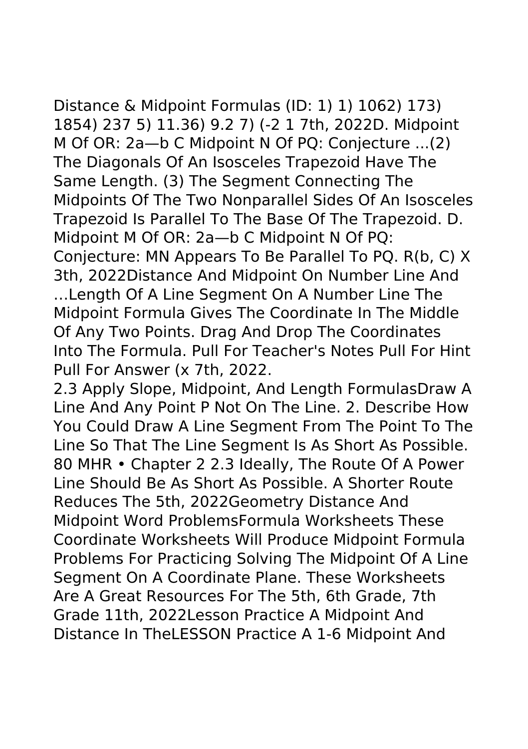Distance & Midpoint Formulas (ID: 1) 1) 1062) 173) 1854) 237 5) 11.36) 9.2 7) (-2 1 7th, 2022D. Midpoint M Of OR: 2a—b C Midpoint N Of PQ: Conjecture ...(2) The Diagonals Of An Isosceles Trapezoid Have The Same Length. (3) The Segment Connecting The Midpoints Of The Two Nonparallel Sides Of An Isosceles Trapezoid Is Parallel To The Base Of The Trapezoid. D. Midpoint M Of OR: 2a—b C Midpoint N Of PQ: Conjecture: MN Appears To Be Parallel To PQ. R(b, C) X 3th, 2022Distance And Midpoint On Number Line And …Length Of A Line Segment On A Number Line The Midpoint Formula Gives The Coordinate In The Middle Of Any Two Points. Drag And Drop The Coordinates Into The Formula. Pull For Teacher's Notes Pull For Hint Pull For Answer (x 7th, 2022.

2.3 Apply Slope, Midpoint, And Length FormulasDraw A Line And Any Point P Not On The Line. 2. Describe How You Could Draw A Line Segment From The Point To The Line So That The Line Segment Is As Short As Possible. 80 MHR • Chapter 2 2.3 Ideally, The Route Of A Power Line Should Be As Short As Possible. A Shorter Route Reduces The 5th, 2022Geometry Distance And Midpoint Word ProblemsFormula Worksheets These Coordinate Worksheets Will Produce Midpoint Formula Problems For Practicing Solving The Midpoint Of A Line Segment On A Coordinate Plane. These Worksheets Are A Great Resources For The 5th, 6th Grade, 7th Grade 11th, 2022Lesson Practice A Midpoint And Distance In TheLESSON Practice A 1-6 Midpoint And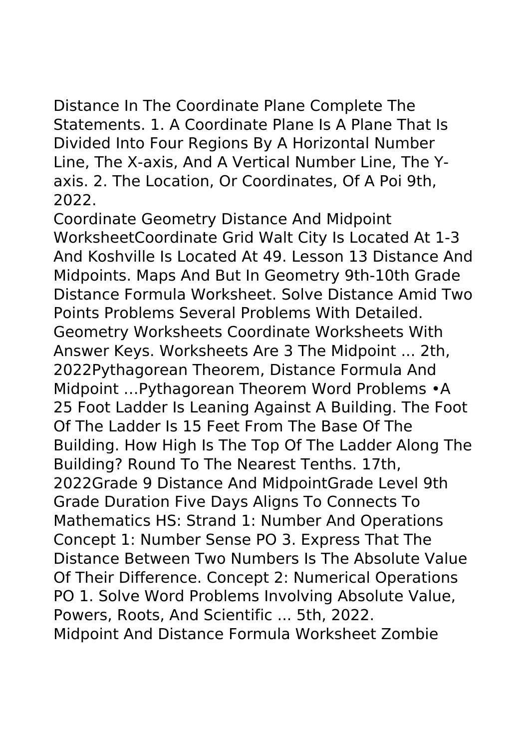Distance In The Coordinate Plane Complete The Statements. 1. A Coordinate Plane Is A Plane That Is Divided Into Four Regions By A Horizontal Number Line, The X-axis, And A Vertical Number Line, The Yaxis. 2. The Location, Or Coordinates, Of A Poi 9th, 2022.

Coordinate Geometry Distance And Midpoint WorksheetCoordinate Grid Walt City Is Located At 1-3 And Koshville Is Located At 49. Lesson 13 Distance And Midpoints. Maps And But In Geometry 9th-10th Grade Distance Formula Worksheet. Solve Distance Amid Two Points Problems Several Problems With Detailed. Geometry Worksheets Coordinate Worksheets With Answer Keys. Worksheets Are 3 The Midpoint ... 2th, 2022Pythagorean Theorem, Distance Formula And Midpoint …Pythagorean Theorem Word Problems •A 25 Foot Ladder Is Leaning Against A Building. The Foot Of The Ladder Is 15 Feet From The Base Of The Building. How High Is The Top Of The Ladder Along The Building? Round To The Nearest Tenths. 17th, 2022Grade 9 Distance And MidpointGrade Level 9th Grade Duration Five Days Aligns To Connects To Mathematics HS: Strand 1: Number And Operations Concept 1: Number Sense PO 3. Express That The Distance Between Two Numbers Is The Absolute Value Of Their Difference. Concept 2: Numerical Operations PO 1. Solve Word Problems Involving Absolute Value, Powers, Roots, And Scientific ... 5th, 2022. Midpoint And Distance Formula Worksheet Zombie